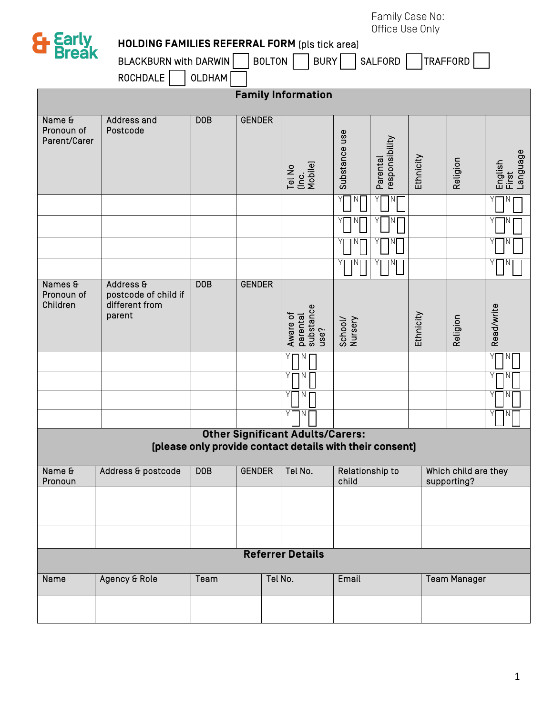Family Case No: Office Use Only

| OTTICE USE UITTY<br>& Early<br>Break<br><b>HOLDING FAMILIES REFERRAL FORM (pls tick area)</b> |                                                                                                     |               |               |         |                                           |                          |                |           |                                     |                              |  |
|-----------------------------------------------------------------------------------------------|-----------------------------------------------------------------------------------------------------|---------------|---------------|---------|-------------------------------------------|--------------------------|----------------|-----------|-------------------------------------|------------------------------|--|
|                                                                                               | TRAFFORD<br>BOLTON<br>BURY<br>SALFORD  <br>BLACKBURN with DARWIN                                    |               |               |         |                                           |                          |                |           |                                     |                              |  |
|                                                                                               | ROCHDALE                                                                                            | <b>OLDHAM</b> |               |         |                                           |                          |                |           |                                     |                              |  |
| <b>Family Information</b>                                                                     |                                                                                                     |               |               |         |                                           |                          |                |           |                                     |                              |  |
| Name &<br>Pronoun of<br>Parent/Carer                                                          | Address and<br>Postcode                                                                             | <b>DOB</b>    | <b>GENDER</b> |         |                                           | Substance use            | responsibility |           |                                     |                              |  |
|                                                                                               |                                                                                                     |               |               |         | Tel No<br>(Inc.<br>Mobile)                |                          | Parental       | Ethnicity | Religion                            | English<br>First<br>Language |  |
|                                                                                               |                                                                                                     |               |               |         |                                           |                          |                |           |                                     | ПN                           |  |
|                                                                                               |                                                                                                     |               |               |         |                                           |                          |                |           |                                     |                              |  |
|                                                                                               |                                                                                                     |               |               |         |                                           |                          |                |           |                                     |                              |  |
| Names &<br>Pronoun of<br>Children                                                             | Address &<br>postcode of child if<br>different from<br>parent                                       | <b>DOB</b>    | <b>GENDER</b> |         | parental<br>substance<br>Aware of<br>use? | School/<br>Nursery       |                | Ethnicity | Religion                            | Read/write                   |  |
|                                                                                               |                                                                                                     |               |               |         | N<br>l N                                  |                          |                |           |                                     | Υ<br>Ν<br>Y<br>N             |  |
|                                                                                               |                                                                                                     |               |               |         | Υ<br>N                                    |                          |                |           |                                     | YI<br>N                      |  |
|                                                                                               |                                                                                                     |               |               |         |                                           |                          |                |           |                                     | Y<br>N                       |  |
|                                                                                               | <b>Other Significant Adults/Carers:</b><br>[please only provide contact details with their consent] |               |               |         |                                           |                          |                |           |                                     |                              |  |
| Name &<br>Pronoun                                                                             | Address & postcode                                                                                  | DOB           | <b>GENDER</b> |         | Tel No.                                   | Relationship to<br>child |                |           | Which child are they<br>supporting? |                              |  |
|                                                                                               |                                                                                                     |               |               |         |                                           |                          |                |           |                                     |                              |  |
|                                                                                               |                                                                                                     |               |               |         | <b>Referrer Details</b>                   |                          |                |           |                                     |                              |  |
| Name                                                                                          | Agency & Role                                                                                       | Team          |               | Tel No. |                                           | Email                    |                |           | <b>Team Manager</b>                 |                              |  |
|                                                                                               |                                                                                                     |               |               |         |                                           |                          |                |           |                                     |                              |  |
|                                                                                               |                                                                                                     |               |               |         |                                           |                          |                |           |                                     |                              |  |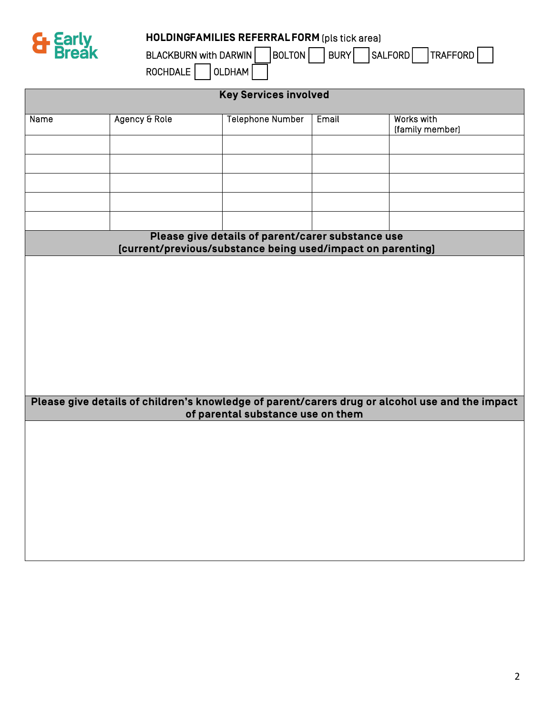

## **HOLDINGFAMILIES REFERRAL FORM** [pls tick area]

BLACKBURN with DARWIN BOLTON BURY SALFORD TRAFFORD  $ROCHDALE$  OLDHAM

| <b>Key Services involved</b>                                                                                     |               |                                   |       |                                                                                                 |  |  |  |  |  |
|------------------------------------------------------------------------------------------------------------------|---------------|-----------------------------------|-------|-------------------------------------------------------------------------------------------------|--|--|--|--|--|
| Name                                                                                                             | Agency & Role | <b>Telephone Number</b>           | Email | Works with<br>(family member)                                                                   |  |  |  |  |  |
|                                                                                                                  |               |                                   |       |                                                                                                 |  |  |  |  |  |
|                                                                                                                  |               |                                   |       |                                                                                                 |  |  |  |  |  |
|                                                                                                                  |               |                                   |       |                                                                                                 |  |  |  |  |  |
|                                                                                                                  |               |                                   |       |                                                                                                 |  |  |  |  |  |
|                                                                                                                  |               |                                   |       |                                                                                                 |  |  |  |  |  |
| Please give details of parent/carer substance use<br>[current/previous/substance being used/impact on parenting] |               |                                   |       |                                                                                                 |  |  |  |  |  |
|                                                                                                                  |               |                                   |       |                                                                                                 |  |  |  |  |  |
|                                                                                                                  |               |                                   |       |                                                                                                 |  |  |  |  |  |
|                                                                                                                  |               |                                   |       |                                                                                                 |  |  |  |  |  |
|                                                                                                                  |               |                                   |       |                                                                                                 |  |  |  |  |  |
|                                                                                                                  |               |                                   |       |                                                                                                 |  |  |  |  |  |
|                                                                                                                  |               |                                   |       |                                                                                                 |  |  |  |  |  |
|                                                                                                                  |               |                                   |       | Please give details of children's knowledge of parent/carers drug or alcohol use and the impact |  |  |  |  |  |
|                                                                                                                  |               | of parental substance use on them |       |                                                                                                 |  |  |  |  |  |
|                                                                                                                  |               |                                   |       |                                                                                                 |  |  |  |  |  |
|                                                                                                                  |               |                                   |       |                                                                                                 |  |  |  |  |  |
|                                                                                                                  |               |                                   |       |                                                                                                 |  |  |  |  |  |
|                                                                                                                  |               |                                   |       |                                                                                                 |  |  |  |  |  |
|                                                                                                                  |               |                                   |       |                                                                                                 |  |  |  |  |  |
|                                                                                                                  |               |                                   |       |                                                                                                 |  |  |  |  |  |
|                                                                                                                  |               |                                   |       |                                                                                                 |  |  |  |  |  |